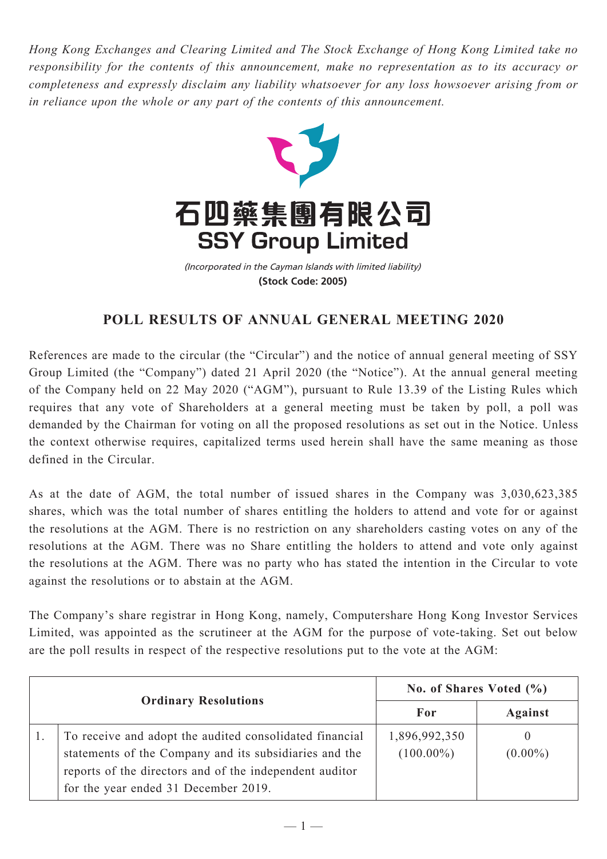*Hong Kong Exchanges and Clearing Limited and The Stock Exchange of Hong Kong Limited take no responsibility for the contents of this announcement, make no representation as to its accuracy or completeness and expressly disclaim any liability whatsoever for any loss howsoever arising from or in reliance upon the whole or any part of the contents of this announcement.*



(Incorporated in the Cayman Islands with limited liability) **(Stock Code: 2005)**

## **POLL RESULTS OF ANNUAL GENERAL MEETING 2020**

References are made to the circular (the "Circular") and the notice of annual general meeting of SSY Group Limited (the "Company") dated 21 April 2020 (the "Notice"). At the annual general meeting of the Company held on 22 May 2020 ("AGM"), pursuant to Rule 13.39 of the Listing Rules which requires that any vote of Shareholders at a general meeting must be taken by poll, a poll was demanded by the Chairman for voting on all the proposed resolutions as set out in the Notice. Unless the context otherwise requires, capitalized terms used herein shall have the same meaning as those defined in the Circular.

As at the date of AGM, the total number of issued shares in the Company was 3,030,623,385 shares, which was the total number of shares entitling the holders to attend and vote for or against the resolutions at the AGM. There is no restriction on any shareholders casting votes on any of the resolutions at the AGM. There was no Share entitling the holders to attend and vote only against the resolutions at the AGM. There was no party who has stated the intention in the Circular to vote against the resolutions or to abstain at the AGM.

The Company's share registrar in Hong Kong, namely, Computershare Hong Kong Investor Services Limited, was appointed as the scrutineer at the AGM for the purpose of vote-taking. Set out below are the poll results in respect of the respective resolutions put to the vote at the AGM:

| <b>Ordinary Resolutions</b> |                                                                                                                                                                                                                      | No. of Shares Voted (%)       |                 |
|-----------------------------|----------------------------------------------------------------------------------------------------------------------------------------------------------------------------------------------------------------------|-------------------------------|-----------------|
|                             |                                                                                                                                                                                                                      | For                           | Against         |
|                             | To receive and adopt the audited consolidated financial<br>statements of the Company and its subsidiaries and the<br>reports of the directors and of the independent auditor<br>for the year ended 31 December 2019. | 1,896,992,350<br>$(100.00\%)$ | 0<br>$(0.00\%)$ |